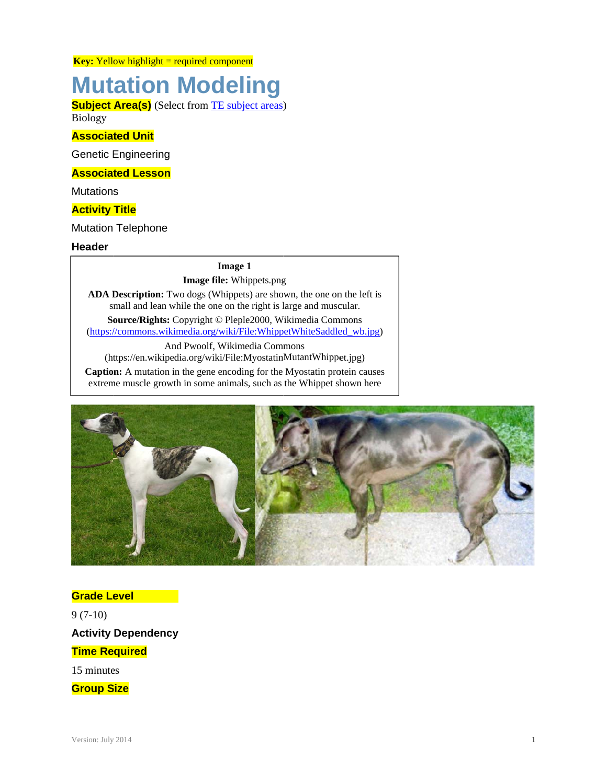**Key:** Yellow highlight = required component

# **Mutation Modeling**

**Subject Area(s)** (Select from TE subject areas) Biology

#### **Associated Unit**

**Genetic Engineering** 

#### **Associated Lesson**

**Mutations** 

#### **Activity Title**

**Mutation Telephone** 

#### **Header**

#### **Image 1**

#### Image file: Whippets.png

ADA Description: Two dogs (Whippets) are shown, the one on the left is small and lean while the one on the right is large and muscular.

Source/Rights: Copyright © Pleple2000, Wikimedia Commons (https://commons.wikimedia.org/wiki/File:WhippetWhiteSaddled wb.jpg)

And Pwoolf, Wikimedia Commons (https://en.wikipedia.org/wiki/File:MyostatinMutantWhippet.jpg)

Caption: A mutation in the gene encoding for the Myostatin protein causes extreme muscle growth in some animals, such as the Whippet shown here



**Grade Level**  $9(7-10)$ **Activity Dependency Time Required** 15 minutes

**Group Size**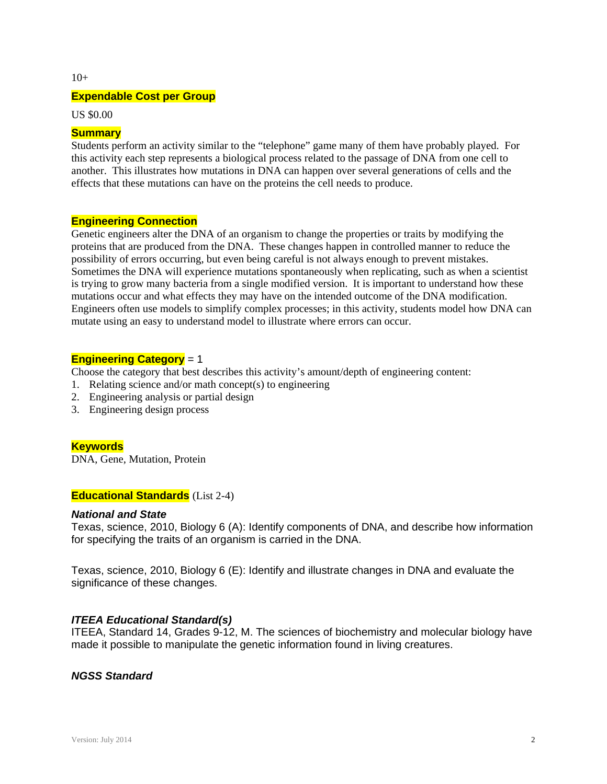$10+$ 

#### **Expendable Cost per Group**

US \$0.00

#### **Summary**

Students perform an activity similar to the "telephone" game many of them have probably played. For this activity each step represents a biological process related to the passage of DNA from one cell to another. This illustrates how mutations in DNA can happen over several generations of cells and the effects that these mutations can have on the proteins the cell needs to produce.

#### **Engineering Connection**

Genetic engineers alter the DNA of an organism to change the properties or traits by modifying the proteins that are produced from the DNA. These changes happen in controlled manner to reduce the possibility of errors occurring, but even being careful is not always enough to prevent mistakes. Sometimes the DNA will experience mutations spontaneously when replicating, such as when a scientist is trying to grow many bacteria from a single modified version. It is important to understand how these mutations occur and what effects they may have on the intended outcome of the DNA modification. Engineers often use models to simplify complex processes; in this activity, students model how DNA can mutate using an easy to understand model to illustrate where errors can occur.

#### **Engineering Category** = 1

Choose the category that best describes this activity's amount/depth of engineering content:

- 1. Relating science and/or math concept(s) to engineering
- 2. Engineering analysis or partial design
- 3. Engineering design process

#### **Keywords**

DNA, Gene, Mutation, Protein

#### **Educational Standards** (List 2-4)

#### *National and State*

Texas, science, 2010, Biology 6 (A): Identify components of DNA, and describe how information for specifying the traits of an organism is carried in the DNA.

Texas, science, 2010, Biology 6 (E): Identify and illustrate changes in DNA and evaluate the significance of these changes.

#### *ITEEA Educational Standard(s)*

ITEEA, Standard 14, Grades 9-12, M. The sciences of biochemistry and molecular biology have made it possible to manipulate the genetic information found in living creatures.

#### *NGSS Standard*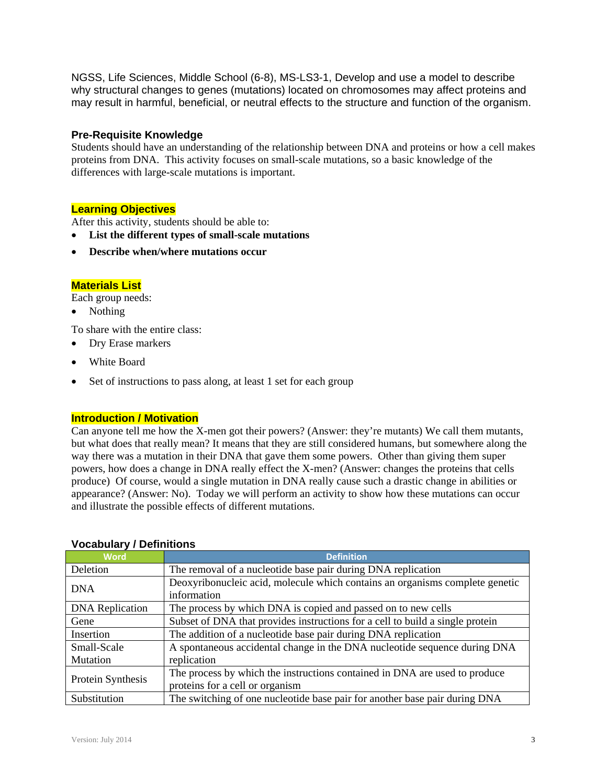NGSS, Life Sciences, Middle School (6-8), MS-LS3-1, Develop and use a model to describe why structural changes to genes (mutations) located on chromosomes may affect proteins and may result in harmful, beneficial, or neutral effects to the structure and function of the organism.

#### **Pre-Requisite Knowledge**

Students should have an understanding of the relationship between DNA and proteins or how a cell makes proteins from DNA. This activity focuses on small-scale mutations, so a basic knowledge of the differences with large-scale mutations is important.

#### **Learning Objectives**

After this activity, students should be able to:

- **List the different types of small-scale mutations**
- **Describe when/where mutations occur**

#### **Materials List**

Each group needs:

• Nothing

To share with the entire class:

- Dry Erase markers
- White Board
- Set of instructions to pass along, at least 1 set for each group

#### **Introduction / Motivation**

Can anyone tell me how the X-men got their powers? (Answer: they're mutants) We call them mutants, but what does that really mean? It means that they are still considered humans, but somewhere along the way there was a mutation in their DNA that gave them some powers. Other than giving them super powers, how does a change in DNA really effect the X-men? (Answer: changes the proteins that cells produce) Of course, would a single mutation in DNA really cause such a drastic change in abilities or appearance? (Answer: No). Today we will perform an activity to show how these mutations can occur and illustrate the possible effects of different mutations.

| <b>Word</b>            | <b>Definition</b>                                                                           |  |  |  |  |
|------------------------|---------------------------------------------------------------------------------------------|--|--|--|--|
| Deletion               | The removal of a nucleotide base pair during DNA replication                                |  |  |  |  |
| <b>DNA</b>             | Deoxyribonucleic acid, molecule which contains an organisms complete genetic<br>information |  |  |  |  |
| <b>DNA</b> Replication | The process by which DNA is copied and passed on to new cells                               |  |  |  |  |
| Gene                   | Subset of DNA that provides instructions for a cell to build a single protein               |  |  |  |  |
| Insertion              | The addition of a nucleotide base pair during DNA replication                               |  |  |  |  |
| Small-Scale            | A spontaneous accidental change in the DNA nucleotide sequence during DNA                   |  |  |  |  |
| Mutation               | replication                                                                                 |  |  |  |  |
| Protein Synthesis      | The process by which the instructions contained in DNA are used to produce                  |  |  |  |  |
|                        | proteins for a cell or organism                                                             |  |  |  |  |
| Substitution           | The switching of one nucleotide base pair for another base pair during DNA                  |  |  |  |  |

#### **Vocabulary / Definitions**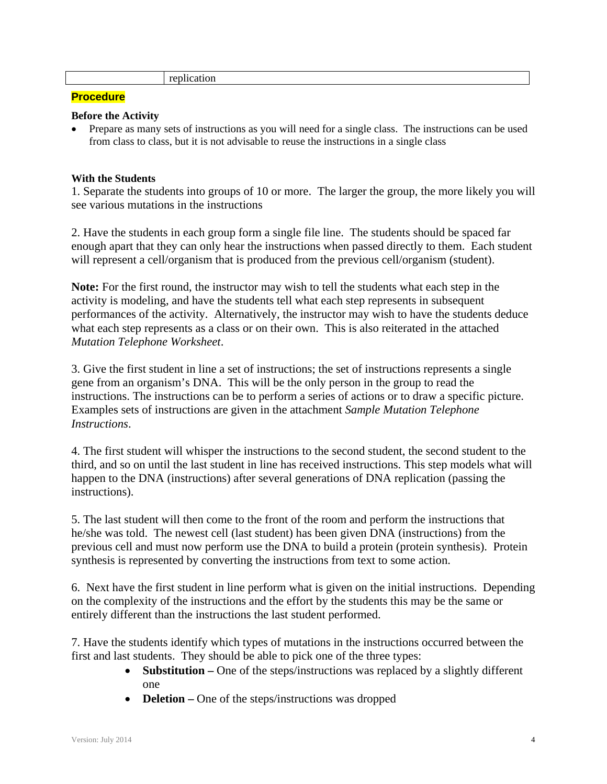replication

#### **Procedure**

#### **Before the Activity**

 Prepare as many sets of instructions as you will need for a single class. The instructions can be used from class to class, but it is not advisable to reuse the instructions in a single class

#### **With the Students**

1. Separate the students into groups of 10 or more. The larger the group, the more likely you will see various mutations in the instructions

2. Have the students in each group form a single file line. The students should be spaced far enough apart that they can only hear the instructions when passed directly to them. Each student will represent a cell/organism that is produced from the previous cell/organism (student).

**Note:** For the first round, the instructor may wish to tell the students what each step in the activity is modeling, and have the students tell what each step represents in subsequent performances of the activity. Alternatively, the instructor may wish to have the students deduce what each step represents as a class or on their own. This is also reiterated in the attached *Mutation Telephone Worksheet*.

3. Give the first student in line a set of instructions; the set of instructions represents a single gene from an organism's DNA. This will be the only person in the group to read the instructions. The instructions can be to perform a series of actions or to draw a specific picture. Examples sets of instructions are given in the attachment *Sample Mutation Telephone Instructions*.

4. The first student will whisper the instructions to the second student, the second student to the third, and so on until the last student in line has received instructions. This step models what will happen to the DNA (instructions) after several generations of DNA replication (passing the instructions).

5. The last student will then come to the front of the room and perform the instructions that he/she was told. The newest cell (last student) has been given DNA (instructions) from the previous cell and must now perform use the DNA to build a protein (protein synthesis). Protein synthesis is represented by converting the instructions from text to some action.

6. Next have the first student in line perform what is given on the initial instructions. Depending on the complexity of the instructions and the effort by the students this may be the same or entirely different than the instructions the last student performed.

7. Have the students identify which types of mutations in the instructions occurred between the first and last students. They should be able to pick one of the three types:

- **Substitution** One of the steps/instructions was replaced by a slightly different one
- **Deletion** One of the steps/instructions was dropped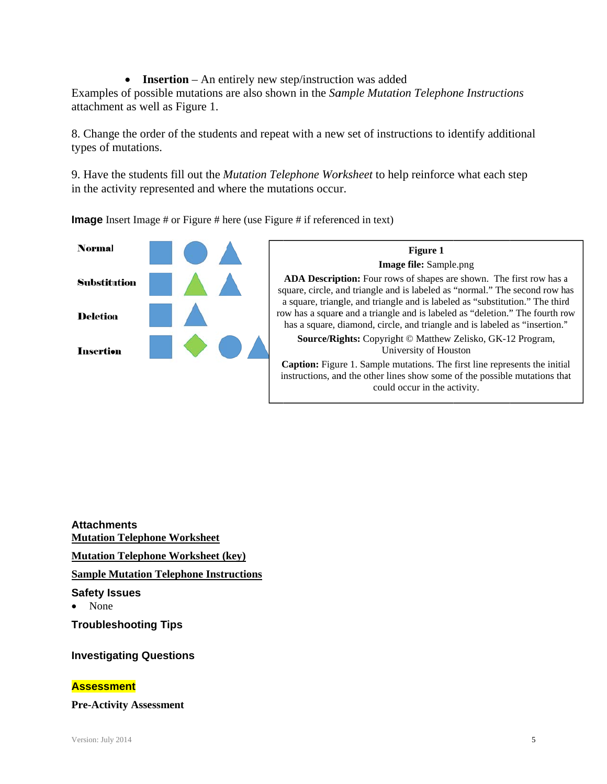• **Insertion** – An entirely new step/instruction was added Examples of possible mutations are also shown in the Sample Mutation Telephone Instructions attachment as well as Figure 1.

8. Change the order of the students and repeat with a new set of instructions to identify additional types of mutations.

9. Have the students fill out the *Mutation Telephone Worksheet* to help reinforce what each step in the activity represented and where the mutations occur.

**Image** Insert Image # or Figure # here (use Figure # if referenced in text)





**Attachments Mutation Telephone Worksheet Mutation Telephone Worksheet (key) Sample Mutation Telephone Instructions Safety Issues** None **Troubleshooting Tips** 

# **Investigating Questions**

#### **Assessment**

**Pre-Activity Assessment**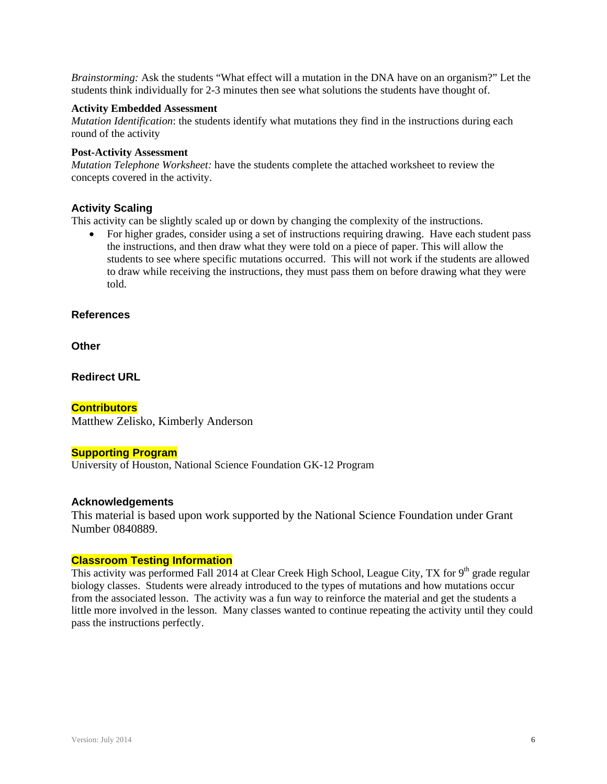*Brainstorming:* Ask the students "What effect will a mutation in the DNA have on an organism?" Let the students think individually for 2-3 minutes then see what solutions the students have thought of.

#### **Activity Embedded Assessment**

*Mutation Identification*: the students identify what mutations they find in the instructions during each round of the activity

#### **Post-Activity Assessment**

*Mutation Telephone Worksheet:* have the students complete the attached worksheet to review the concepts covered in the activity.

#### **Activity Scaling**

This activity can be slightly scaled up or down by changing the complexity of the instructions.

• For higher grades, consider using a set of instructions requiring drawing. Have each student pass the instructions, and then draw what they were told on a piece of paper. This will allow the students to see where specific mutations occurred. This will not work if the students are allowed to draw while receiving the instructions, they must pass them on before drawing what they were told.

#### **References**

**Other**

**Redirect URL** 

#### **Contributors**

Matthew Zelisko, Kimberly Anderson

#### **Supporting Program**

University of Houston, National Science Foundation GK-12 Program

#### **Acknowledgements**

This material is based upon work supported by the National Science Foundation under Grant Number 0840889.

#### **Classroom Testing Information**

This activity was performed Fall 2014 at Clear Creek High School, League City, TX for  $9<sup>th</sup>$  grade regular biology classes. Students were already introduced to the types of mutations and how mutations occur from the associated lesson. The activity was a fun way to reinforce the material and get the students a little more involved in the lesson. Many classes wanted to continue repeating the activity until they could pass the instructions perfectly.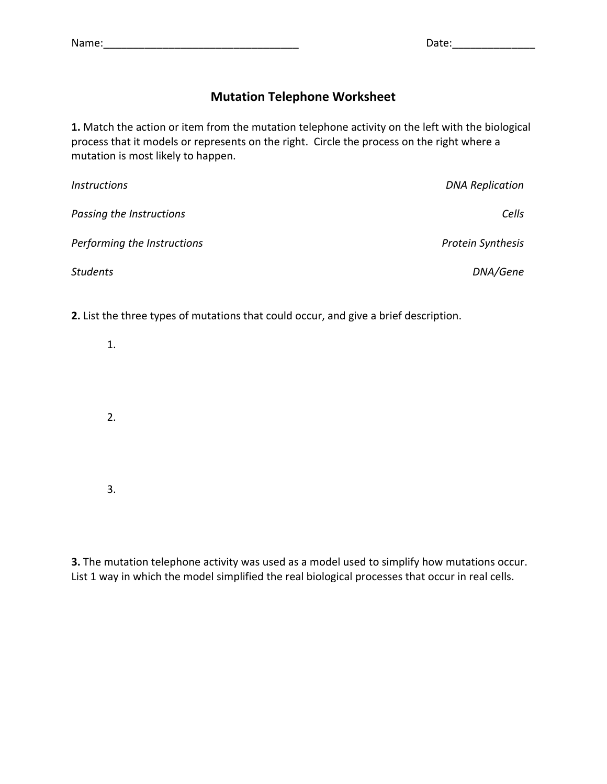## **Mutation Telephone Worksheet**

**1.** Match the action or item from the mutation telephone activity on the left with the biological process that it models or represents on the right. Circle the process on the right where a mutation is most likely to happen.

| <b>Instructions</b>         | <b>DNA Replication</b>   |
|-----------------------------|--------------------------|
| Passing the Instructions    | Cells                    |
| Performing the Instructions | <b>Protein Synthesis</b> |
| <b>Students</b>             | DNA/Gene                 |

**2.** List the three types of mutations that could occur, and give a brief description.

| 1. |  |  |  |
|----|--|--|--|
| 2. |  |  |  |
| 3. |  |  |  |

**3.** The mutation telephone activity was used as a model used to simplify how mutations occur. List 1 way in which the model simplified the real biological processes that occur in real cells.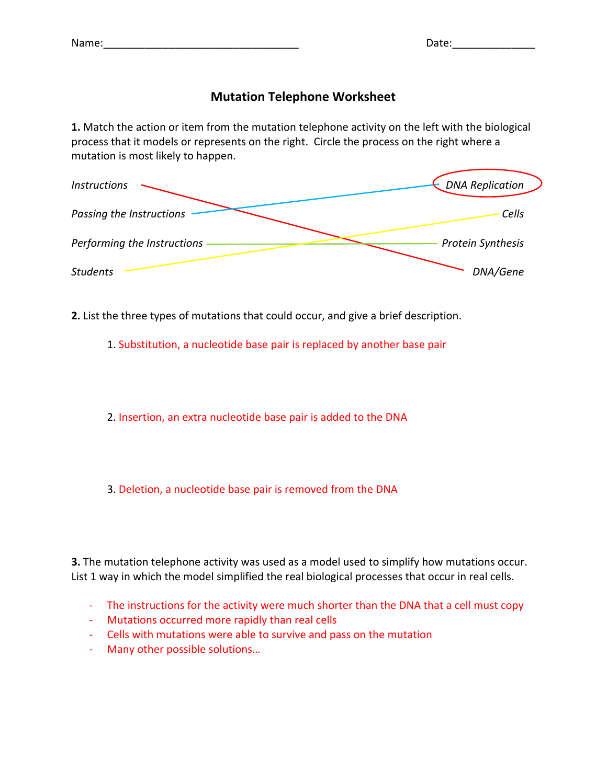### **Mutation Telephone Worksheet**

**1.** Match the action or item from the mutation telephone activity on the left with the biological process that it models or represents on the right. Circle the process on the right where a mutation is most likely to happen.



**2.** List the three types of mutations that could occur, and give a brief description.

1. Substitution, a nucleotide base pair is replaced by another base pair

2. Insertion, an extra nucleotide base pair is added to the DNA

3. Deletion, a nucleotide base pair is removed from the DNA

**3.** The mutation telephone activity was used as a model used to simplify how mutations occur. List 1 way in which the model simplified the real biological processes that occur in real cells.

- ‐ The instructions for the activity were much shorter than the DNA that a cell must copy
- ‐ Mutations occurred more rapidly than real cells
- ‐ Cells with mutations were able to survive and pass on the mutation
- ‐ Many other possible solutions…